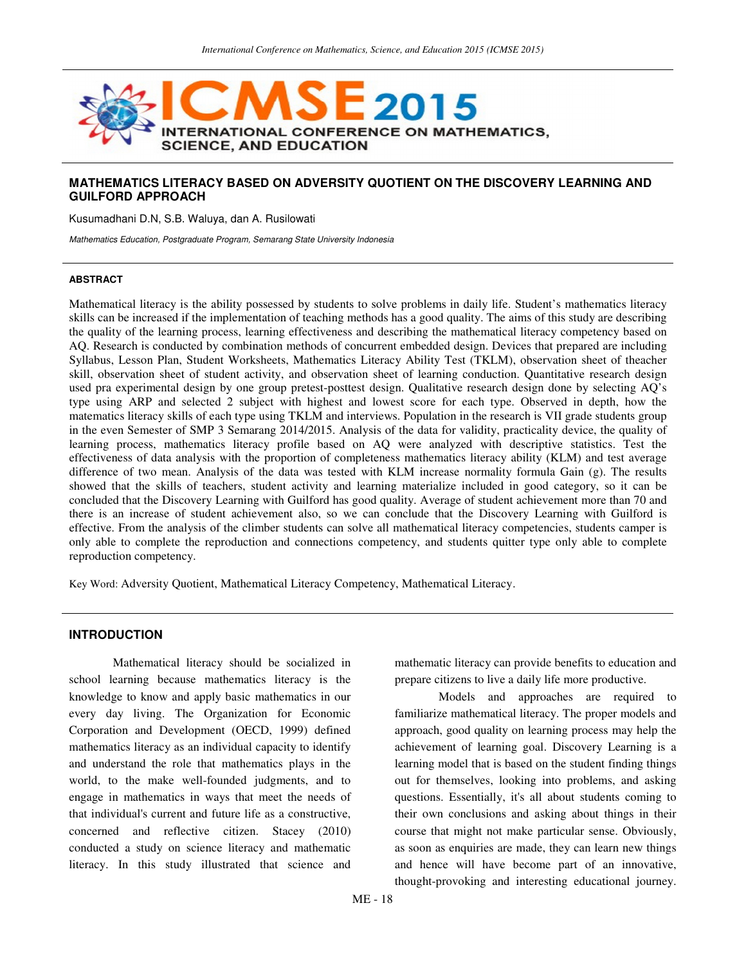

## **MATHEMATICS LITERACY BASED ON ADVERSITY QUOTIENT ON THE DISCOVERY LEARNING AND GUILFORD APPROACH**

Kusumadhani D.N, S.B. Waluya, dan A. Rusilowati

Mathematics Education, Postgraduate Program, Semarang State University Indonesia

#### **ABSTRACT**

Mathematical literacy is the ability possessed by students to solve problems in daily life. Student's mathematics literacy skills can be increased if the implementation of teaching methods has a good quality. The aims of this study are describing the quality of the learning process, learning effectiveness and describing the mathematical literacy competency based on AQ. Research is conducted by combination methods of concurrent embedded design. Devices that prepared are including Syllabus, Lesson Plan, Student Worksheets, Mathematics Literacy Ability Test (TKLM), observation sheet of theacher skill, observation sheet of student activity, and observation sheet of learning conduction. Quantitative research design used pra experimental design by one group pretest-posttest design. Qualitative research design done by selecting AQ's type using ARP and selected 2 subject with highest and lowest score for each type. Observed in depth, how the matematics literacy skills of each type using TKLM and interviews. Population in the research is VII grade students group in the even Semester of SMP 3 Semarang 2014/2015. Analysis of the data for validity, practicality device, the quality of learning process, mathematics literacy profile based on AQ were analyzed with descriptive statistics. Test the effectiveness of data analysis with the proportion of completeness mathematics literacy ability (KLM) and test average difference of two mean. Analysis of the data was tested with KLM increase normality formula Gain (g). The results showed that the skills of teachers, student activity and learning materialize included in good category, so it can be concluded that the Discovery Learning with Guilford has good quality. Average of student achievement more than 70 and there is an increase of student achievement also, so we can conclude that the Discovery Learning with Guilford is effective. From the analysis of the climber students can solve all mathematical literacy competencies, students camper is only able to complete the reproduction and connections competency, and students quitter type only able to complete reproduction competency.

Key Word: Adversity Quotient, Mathematical Literacy Competency, Mathematical Literacy.

### **INTRODUCTION**

Mathematical literacy should be socialized in school learning because mathematics literacy is the knowledge to know and apply basic mathematics in our every day living. The Organization for Economic Corporation and Development (OECD, 1999) defined mathematics literacy as an individual capacity to identify and understand the role that mathematics plays in the world, to the make well-founded judgments, and to engage in mathematics in ways that meet the needs of that individual's current and future life as a constructive, concerned and reflective citizen. Stacey (2010) conducted a study on science literacy and mathematic literacy. In this study illustrated that science and

mathematic literacy can provide benefits to education and prepare citizens to live a daily life more productive.

Models and approaches are required to familiarize mathematical literacy. The proper models and approach, good quality on learning process may help the achievement of learning goal. Discovery Learning is a learning model that is based on the student finding things out for themselves, looking into problems, and asking questions. Essentially, it's all about students coming to their own conclusions and asking about things in their course that might not make particular sense. Obviously, as soon as enquiries are made, they can learn new things and hence will have become part of an innovative, thought-provoking and interesting educational journey.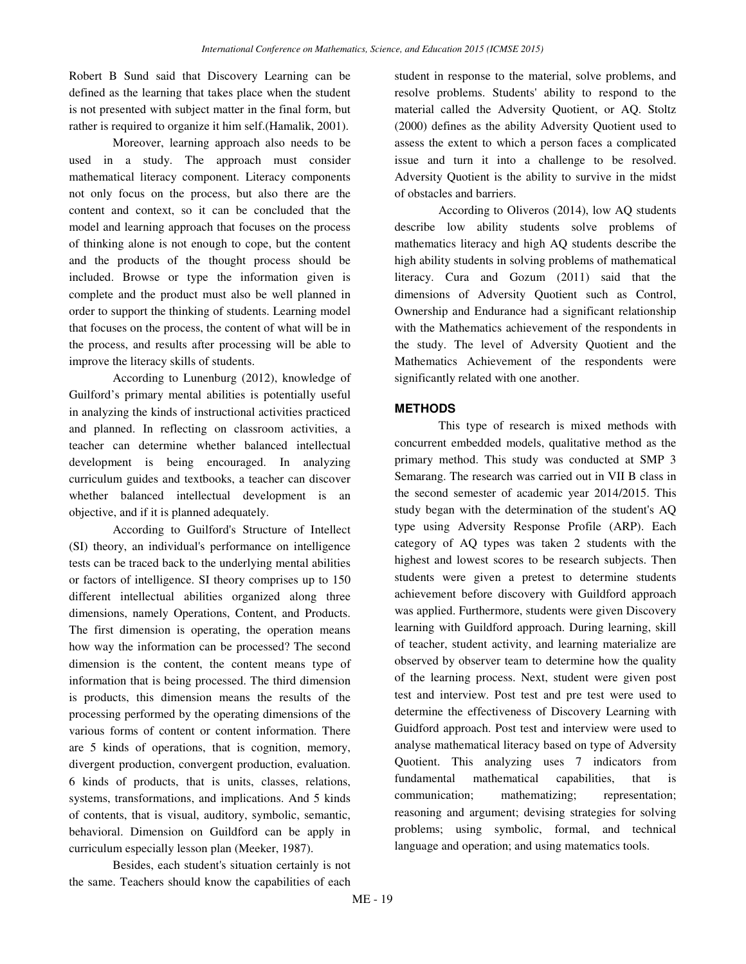Robert B Sund said that Discovery Learning can be defined as the learning that takes place when the student is not presented with subject matter in the final form, but rather is required to organize it him self.(Hamalik, 2001).

Moreover, learning approach also needs to be used in a study. The approach must consider mathematical literacy component. Literacy components not only focus on the process, but also there are the content and context, so it can be concluded that the model and learning approach that focuses on the process of thinking alone is not enough to cope, but the content and the products of the thought process should be included. Browse or type the information given is complete and the product must also be well planned in order to support the thinking of students. Learning model that focuses on the process, the content of what will be in the process, and results after processing will be able to improve the literacy skills of students.

According to Lunenburg (2012), knowledge of Guilford's primary mental abilities is potentially useful in analyzing the kinds of instructional activities practiced and planned. In reflecting on classroom activities, a teacher can determine whether balanced intellectual development is being encouraged. In analyzing curriculum guides and textbooks, a teacher can discover whether balanced intellectual development is an objective, and if it is planned adequately.

According to Guilford's Structure of Intellect (SI) theory, an individual's performance on intelligence tests can be traced back to the underlying mental abilities or factors of intelligence. SI theory comprises up to 150 different intellectual abilities organized along three dimensions, namely Operations, Content, and Products. The first dimension is operating, the operation means how way the information can be processed? The second dimension is the content, the content means type of information that is being processed. The third dimension is products, this dimension means the results of the processing performed by the operating dimensions of the various forms of content or content information. There are 5 kinds of operations, that is cognition, memory, divergent production, convergent production, evaluation. 6 kinds of products, that is units, classes, relations, systems, transformations, and implications. And 5 kinds of contents, that is visual, auditory, symbolic, semantic, behavioral. Dimension on Guildford can be apply in curriculum especially lesson plan (Meeker, 1987).

Besides, each student's situation certainly is not the same. Teachers should know the capabilities of each student in response to the material, solve problems, and resolve problems. Students' ability to respond to the material called the Adversity Quotient, or AQ. Stoltz (2000) defines as the ability Adversity Quotient used to assess the extent to which a person faces a complicated issue and turn it into a challenge to be resolved. Adversity Quotient is the ability to survive in the midst of obstacles and barriers.

According to Oliveros (2014), low AQ students describe low ability students solve problems of mathematics literacy and high AQ students describe the high ability students in solving problems of mathematical literacy. Cura and Gozum (2011) said that the dimensions of Adversity Quotient such as Control, Ownership and Endurance had a significant relationship with the Mathematics achievement of the respondents in the study. The level of Adversity Quotient and the Mathematics Achievement of the respondents were significantly related with one another.

## **METHODS**

This type of research is mixed methods with concurrent embedded models, qualitative method as the primary method. This study was conducted at SMP 3 Semarang. The research was carried out in VII B class in the second semester of academic year 2014/2015. This study began with the determination of the student's AQ type using Adversity Response Profile (ARP). Each category of AQ types was taken 2 students with the highest and lowest scores to be research subjects. Then students were given a pretest to determine students achievement before discovery with Guildford approach was applied. Furthermore, students were given Discovery learning with Guildford approach. During learning, skill of teacher, student activity, and learning materialize are observed by observer team to determine how the quality of the learning process. Next, student were given post test and interview. Post test and pre test were used to determine the effectiveness of Discovery Learning with Guidford approach. Post test and interview were used to analyse mathematical literacy based on type of Adversity Quotient. This analyzing uses 7 indicators from fundamental mathematical capabilities, that is communication; mathematizing; representation; reasoning and argument; devising strategies for solving problems; using symbolic, formal, and technical language and operation; and using matematics tools.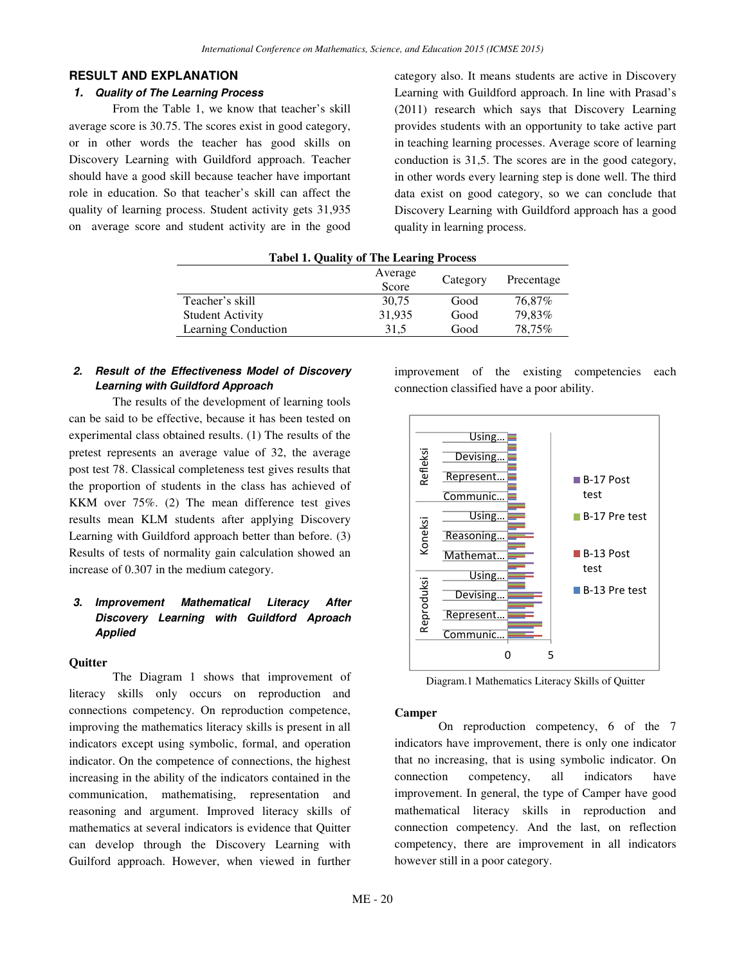# **RESULT AND EXPLANATION**

# **1. Quality of The Learning Process**

From the Table 1, we know that teacher's skill average score is 30.75. The scores exist in good category, or in other words the teacher has good skills on Discovery Learning with Guildford approach. Teacher should have a good skill because teacher have important role in education. So that teacher's skill can affect the quality of learning process. Student activity gets 31,935 on average score and student activity are in the good category also. It means students are active in Discovery Learning with Guildford approach. In line with Prasad's (2011) research which says that Discovery Learning provides students with an opportunity to take active part in teaching learning processes. Average score of learning conduction is 31,5. The scores are in the good category, in other words every learning step is done well. The third data exist on good category, so we can conclude that Discovery Learning with Guildford approach has a good quality in learning process.

| $= 100$ $\sigma$ $= 100$ $\sigma$ $= 100$<br>$\sim$ |                  |          |            |  |  |  |
|-----------------------------------------------------|------------------|----------|------------|--|--|--|
|                                                     | Average<br>Score | Category | Precentage |  |  |  |
| Teacher's skill                                     | 30,75            | Good     | 76,87%     |  |  |  |
| <b>Student Activity</b>                             | 31,935           | Good     | 79,83%     |  |  |  |
| Learning Conduction                                 | 31,5             | Good     | 78.75%     |  |  |  |

# **Tabel 1. Quality of The Learing Process**

# **2. Result of the Effectiveness Model of Discovery Learning with Guildford Approach**

The results of the development of learning tools can be said to be effective, because it has been tested on experimental class obtained results. (1) The results of the pretest represents an average value of 32, the average post test 78. Classical completeness test gives results that the proportion of students in the class has achieved of KKM over 75%. (2) The mean difference test gives results mean KLM students after applying Discovery Learning with Guildford approach better than before. (3) Results of tests of normality gain calculation showed an increase of 0.307 in the medium category.

# **3. Improvement Mathematical Literacy After Discovery Learning with Guildford Aproach Applied**

### **Quitter**

The Diagram 1 shows that improvement of literacy skills only occurs on reproduction and connections competency. On reproduction competence, improving the mathematics literacy skills is present in all indicators except using symbolic, formal, and operation indicator. On the competence of connections, the highest increasing in the ability of the indicators contained in the communication, mathematising, representation and reasoning and argument. Improved literacy skills of mathematics at several indicators is evidence that Quitter can develop through the Discovery Learning with Guilford approach. However, when viewed in further

improvement of the existing competencies each connection classified have a poor ability.



Diagram.1 Mathematics Literacy Skills of Quitter

#### **Camper**

On reproduction competency, 6 of the 7 indicators have improvement, there is only one indicator that no increasing, that is using symbolic indicator. On connection competency, all indicators have improvement. In general, the type of Camper have good mathematical literacy skills in reproduction and connection competency. And the last, on reflection competency, there are improvement in all indicators however still in a poor category.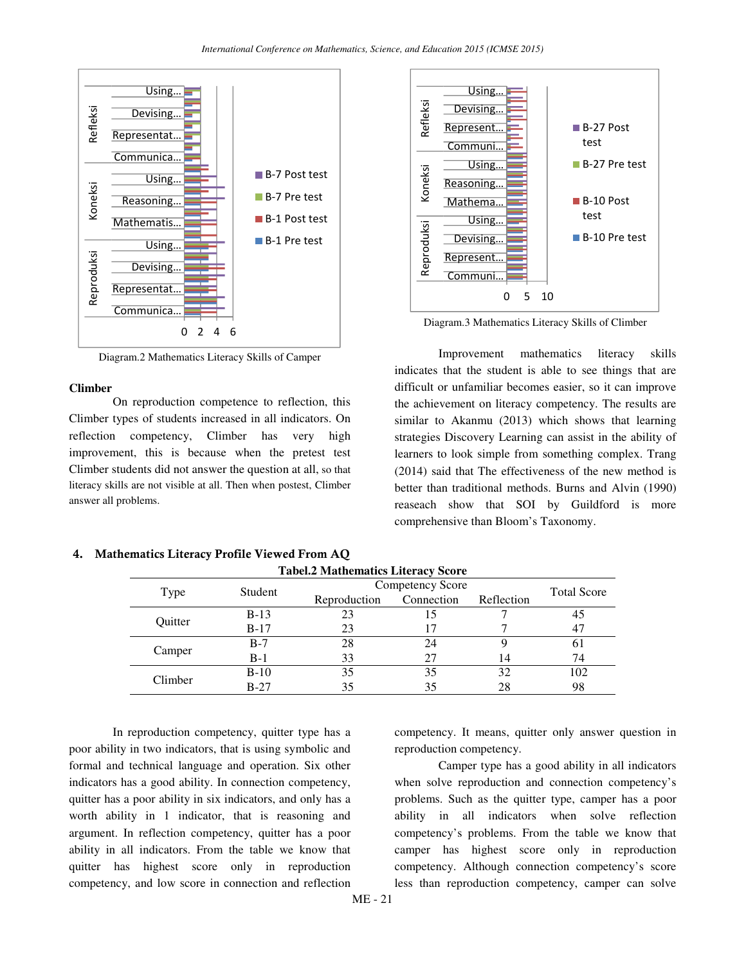

Diagram.2 Mathematics Literacy Skills of Camper

#### **Climber**

On reproduction competence to reflection, this Climber types of students increased in all indicators. On reflection competency, Climber has very high improvement, this is because when the pretest test Climber students did not answer the question at all, so that literacy skills are not visible at all. Then when postest, Climber answer all problems.



Diagram.3 Mathematics Literacy Skills of Climber

Improvement mathematics literacy skills indicates that the student is able to see things that are difficult or unfamiliar becomes easier, so it can improve the achievement on literacy competency. The results are similar to Akanmu (2013) which shows that learning strategies Discovery Learning can assist in the ability of learners to look simple from something complex. Trang (2014) said that The effectiveness of the new method is better than traditional methods. Burns and Alvin (1990) reaseach show that SOI by Guildford is more comprehensive than Bloom's Taxonomy.

| Type                        | Student | Competency Score |            |            | <b>Total Score</b> |
|-----------------------------|---------|------------------|------------|------------|--------------------|
|                             |         | Reproduction     | Connection | Reflection |                    |
| Quitter                     | $B-13$  |                  |            |            |                    |
|                             | $B-17$  | 23               |            |            |                    |
| Camper                      | $B-7$   | 28               | 24         |            | 0I                 |
|                             | $B-1$   | 33               | 27         | 14         | 74                 |
| $B-10$<br>Climber<br>$B-27$ | 35      | 35               | 32         | 102        |                    |
|                             |         |                  | 35         | 28         | 98                 |

**Tabel.2 Mathematics Literacy Score** 

4. Mathematics Literacy Profile Viewed From AQ

In reproduction competency, quitter type has a poor ability in two indicators, that is using symbolic and formal and technical language and operation. Six other indicators has a good ability. In connection competency, quitter has a poor ability in six indicators, and only has a worth ability in 1 indicator, that is reasoning and argument. In reflection competency, quitter has a poor ability in all indicators. From the table we know that quitter has highest score only in reproduction competency, and low score in connection and reflection

competency. It means, quitter only answer question in reproduction competency.

Camper type has a good ability in all indicators when solve reproduction and connection competency's problems. Such as the quitter type, camper has a poor ability in all indicators when solve reflection competency's problems. From the table we know that camper has highest score only in reproduction competency. Although connection competency's score less than reproduction competency, camper can solve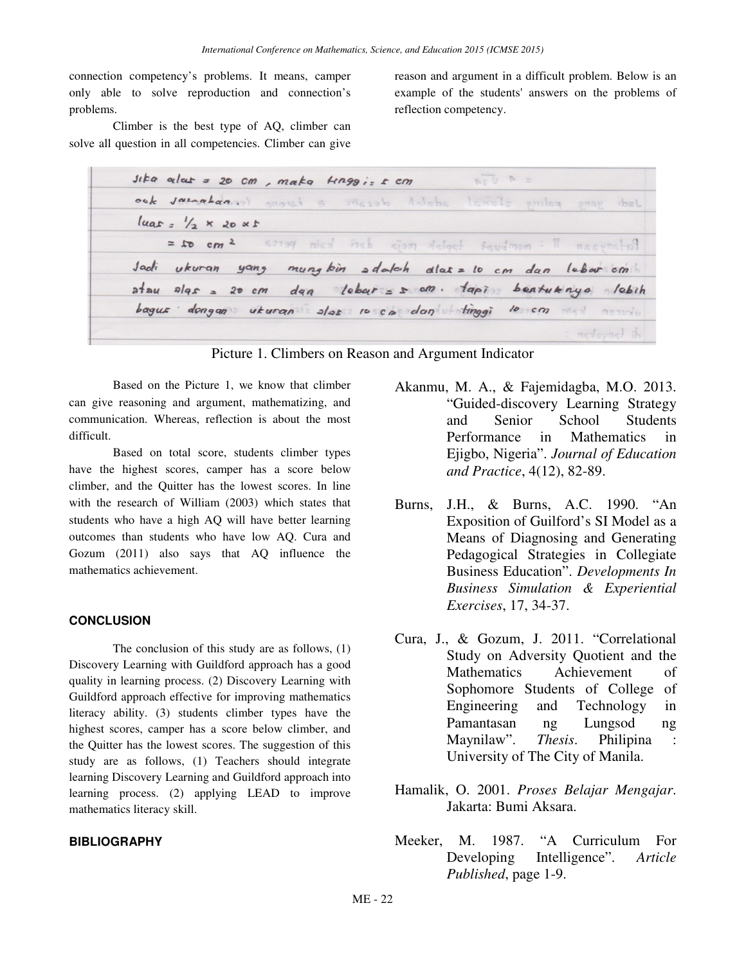connection competency's problems. It means, camper only able to solve reproduction and connection's problems.

Climber is the best type of AQ, climber can solve all question in all competencies. Climber can give

> sika alas = 20 cm, maka kinggis s cm  $= 9$   $\sqrt{28}$ ock jacoaban at moral a mozal delete teriode poiles shirt  $luas = \frac{1}{2} \times 20 \times t$  $= 10 cm<sup>2</sup>$ 60199 nicel Fish ciam delact foundman: 1 Portoreson Jadi ukuran yang mung bin adalah dlas= 10 cm dan lebar cm  $atau$   $a/gs = 20 cm$  $dag$  leber =  $s$  an. tapis bentuknya lebih  $bagus$  dongan ukuran alor 10 cm dan tinggi 10 cm  $n \sin \theta$ nedevant is

Picture 1. Climbers on Reason and Argument Indicator

Based on the Picture 1, we know that climber can give reasoning and argument, mathematizing, and communication. Whereas, reflection is about the most difficult.

Based on total score, students climber types have the highest scores, camper has a score below climber, and the Quitter has the lowest scores. In line with the research of William (2003) which states that students who have a high AQ will have better learning outcomes than students who have low AQ. Cura and Gozum (2011) also says that AQ influence the mathematics achievement.

# **CONCLUSION**

The conclusion of this study are as follows, (1) Discovery Learning with Guildford approach has a good quality in learning process. (2) Discovery Learning with Guildford approach effective for improving mathematics literacy ability. (3) students climber types have the highest scores, camper has a score below climber, and the Quitter has the lowest scores. The suggestion of this study are as follows, (1) Teachers should integrate learning Discovery Learning and Guildford approach into learning process. (2) applying LEAD to improve mathematics literacy skill.

### **BIBLIOGRAPHY**

Akanmu, M. A., & Fajemidagba, M.O. 2013. "Guided-discovery Learning Strategy and Senior School Students Performance in Mathematics in Ejigbo, Nigeria". *Journal of Education and Practice*, 4(12), 82-89.

reason and argument in a difficult problem. Below is an example of the students' answers on the problems of

- Burns, J.H., & Burns, A.C. 1990. "An Exposition of Guilford's SI Model as a Means of Diagnosing and Generating Pedagogical Strategies in Collegiate Business Education". *Developments In Business Simulation & Experiential Exercises*, 17, 34-37.
- Cura, J., & Gozum, J. 2011. "Correlational Study on Adversity Quotient and the Mathematics Achievement of Sophomore Students of College of Engineering and Technology in Pamantasan ng Lungsod ng Maynilaw". *Thesis*. Philipina : University of The City of Manila.
- Hamalik, O. 2001. *Proses Belajar Mengajar*. Jakarta: Bumi Aksara.
- Meeker, M. 1987. "A Curriculum For Developing Intelligence". *Article Published*, page 1-9.

reflection competency.